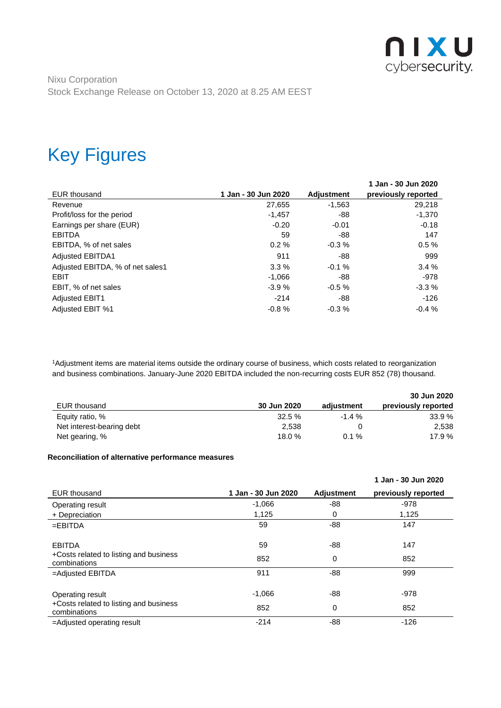

### Key Figures

|                                  |                     |                   | 1 Jan - 30 Jun 2020 |
|----------------------------------|---------------------|-------------------|---------------------|
| <b>EUR</b> thousand              | 1 Jan - 30 Jun 2020 | <b>Adjustment</b> | previously reported |
| Revenue                          | 27,655              | $-1,563$          | 29,218              |
| Profit/loss for the period       | $-1,457$            | -88               | $-1.370$            |
| Earnings per share (EUR)         | $-0.20$             | $-0.01$           | $-0.18$             |
| <b>EBITDA</b>                    | 59                  | -88               | 147                 |
| EBITDA, % of net sales           | 0.2%                | $-0.3%$           | 0.5%                |
| <b>Adjusted EBITDA1</b>          | 911                 | -88               | 999                 |
| Adjusted EBITDA, % of net sales1 | 3.3%                | $-0.1%$           | 3.4%                |
| <b>EBIT</b>                      | $-1.066$            | -88               | -978                |
| EBIT, % of net sales             | $-3.9%$             | $-0.5%$           | $-3.3%$             |
| <b>Adjusted EBIT1</b>            | $-214$              | -88               | -126                |
| Adjusted EBIT %1                 | $-0.8%$             | $-0.3\%$          | $-0.4%$             |

<sup>1</sup>Adjustment items are material items outside the ordinary course of business, which costs related to reorganization and business combinations. January-June 2020 EBITDA included the non-recurring costs EUR 852 (78) thousand.

|                           |             |            | 30 Jun 2020         |
|---------------------------|-------------|------------|---------------------|
| EUR thousand              | 30 Jun 2020 | adiustment | previously reported |
| Equity ratio, %           | $32.5 \%$   | $-1.4%$    | 33.9%               |
| Net interest-bearing debt | 2.538       |            | 2,538               |
| Net gearing, %            | 18.0 %      | $0.1 \%$   | 17.9 %              |

#### **Reconciliation of alternative performance measures**

|                                                        |                     |                   | 1 Jan - 30 Jun 2020 |
|--------------------------------------------------------|---------------------|-------------------|---------------------|
| <b>EUR</b> thousand                                    | 1 Jan - 30 Jun 2020 | <b>Adjustment</b> | previously reported |
| Operating result                                       | $-1,066$            | -88               | $-978$              |
| + Depreciation                                         | 1,125               | 0                 | 1,125               |
| $=$ EBITDA                                             | 59                  | -88               | 147                 |
| <b>EBITDA</b>                                          | 59                  | -88               | 147                 |
| +Costs related to listing and business<br>combinations | 852                 | 0                 | 852                 |
| $=$ Adjusted EBITDA                                    | 911                 | -88               | 999                 |
| Operating result                                       | $-1,066$            | -88               | $-978$              |
| +Costs related to listing and business<br>combinations | 852                 | 0                 | 852                 |
| =Adjusted operating result                             | $-214$              | $-88$             | $-126$              |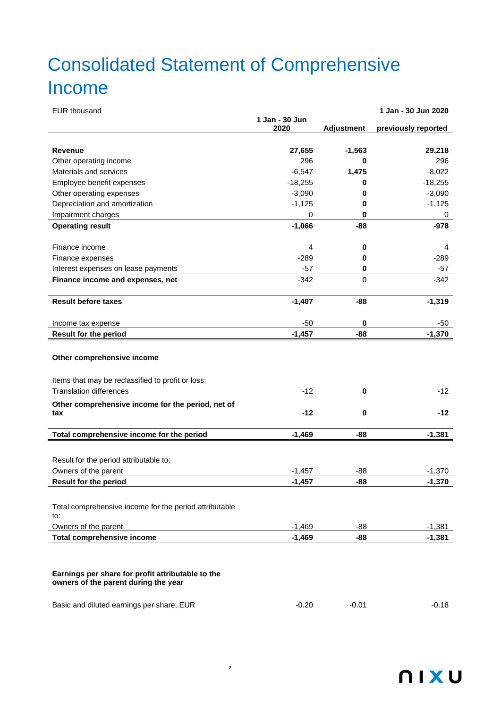# Consolidated Statement of Comprehensive Income

| <b>EUR thousand</b>                                    |                |                   | 1 Jan - 30 Jun 2020 |
|--------------------------------------------------------|----------------|-------------------|---------------------|
|                                                        | 1 Jan - 30 Jun |                   |                     |
|                                                        | 2020           | <b>Adjustment</b> | previously reported |
| <b>Revenue</b>                                         | 27,655         | $-1,563$          | 29,218              |
| Other operating income                                 | 296            | 0                 | 296                 |
| Materials and services                                 | $-6,547$       | 1,475             | $-8,022$            |
| Employee benefit expenses                              | $-18,255$      | 0                 | $-18,255$           |
| Other operating expenses                               | $-3,090$       | 0                 | $-3,090$            |
| Depreciation and amortization                          | $-1,125$       | 0                 | $-1,125$            |
| Impairment charges                                     | 0              | 0                 | 0                   |
| <b>Operating result</b>                                | $-1,066$       | -88               | $-978$              |
|                                                        |                |                   |                     |
| Finance income                                         | 4              | 0                 | 4                   |
| Finance expenses                                       | $-289$         | 0                 | $-289$              |
| Interest expenses on lease payments                    | $-57$          | 0                 | -57                 |
| Finance income and expenses, net                       | $-342$         | $\mathbf 0$       | $-342$              |
|                                                        |                |                   |                     |
| <b>Result before taxes</b>                             | $-1,407$       | $-88$             | $-1,319$            |
| Income tax expense                                     | $-50$          | 0                 | -50                 |
| <b>Result for the period</b>                           | $-1,457$       | -88               | $-1,370$            |
|                                                        |                |                   |                     |
| Other comprehensive income                             |                |                   |                     |
| Items that may be reclassified to profit or loss:      |                |                   |                     |
| <b>Translation differences</b>                         | $-12$          | $\mathbf 0$       | $-12$               |
| Other comprehensive income for the period, net of      |                |                   |                     |
| tax                                                    | $-12$          | $\mathbf 0$       | $-12$               |
|                                                        |                |                   |                     |
| Total comprehensive income for the period              | $-1,469$       | -88               | $-1,381$            |
|                                                        |                |                   |                     |
| Result for the period attributable to:                 |                |                   |                     |
| Owners of the parent                                   | $-1,457$       | -88               | $-1,370$            |
| <b>Result for the period</b>                           | $-1,457$       | -88               | $-1,370$            |
|                                                        |                |                   |                     |
| Total comprehensive income for the period attributable |                |                   |                     |
| to:                                                    |                |                   |                     |
| Owners of the parent                                   | $-1,469$       | -88               | $-1,381$            |
| <b>Total comprehensive income</b>                      | $-1,469$       | -88               | $-1,381$            |
|                                                        |                |                   |                     |
|                                                        |                |                   |                     |
| Earnings per share for profit attributable to the      |                |                   |                     |
| owners of the parent during the year                   |                |                   |                     |

| Basic and diluted earnings per share, EUR | $-0.20$ | $-0.01$ | $-0.18$ |
|-------------------------------------------|---------|---------|---------|
|-------------------------------------------|---------|---------|---------|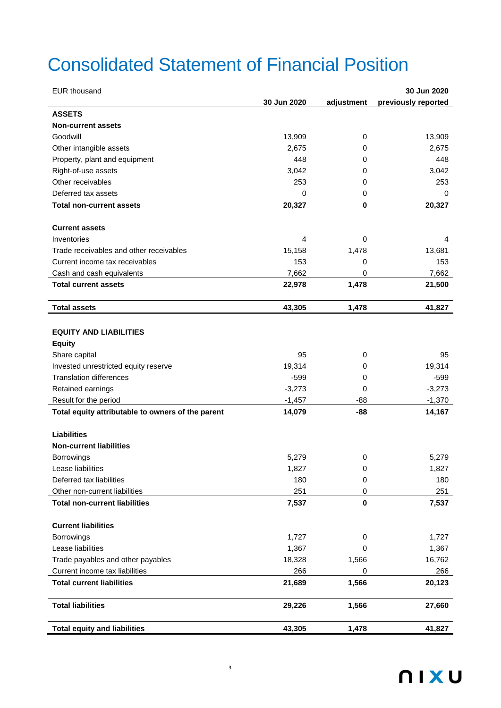## Consolidated Statement of Financial Position

| <b>EUR thousand</b>                                                | 30 Jun 2020 |
|--------------------------------------------------------------------|-------------|
| previously reported<br>30 Jun 2020<br>adjustment                   |             |
| <b>ASSETS</b>                                                      |             |
| <b>Non-current assets</b>                                          |             |
| Goodwill<br>13,909<br>0                                            | 13,909      |
| Other intangible assets<br>2,675<br>0                              | 2,675       |
| 448<br>Property, plant and equipment<br>0                          | 448         |
| 3,042<br>Right-of-use assets<br>0                                  | 3,042       |
| Other receivables<br>253<br>0                                      | 253         |
| Deferred tax assets<br>0<br>0                                      | 0           |
| $\pmb{0}$<br>20,327<br><b>Total non-current assets</b>             | 20,327      |
|                                                                    |             |
| <b>Current assets</b>                                              |             |
| Inventories<br>4<br>0                                              | 4           |
| Trade receivables and other receivables<br>15,158<br>1,478         | 13,681      |
| 153<br>Current income tax receivables<br>0                         | 153         |
| Cash and cash equivalents<br>7,662<br>0                            | 7,662       |
| 1,478<br><b>Total current assets</b><br>22,978                     | 21,500      |
|                                                                    |             |
| 43,305<br>1,478<br><b>Total assets</b>                             | 41,827      |
|                                                                    |             |
| <b>EQUITY AND LIABILITIES</b>                                      |             |
| <b>Equity</b>                                                      |             |
| Share capital<br>95<br>0                                           | 95          |
| 19,314<br>Invested unrestricted equity reserve<br>0                | 19,314      |
| <b>Translation differences</b><br>$-599$<br>0                      | $-599$      |
| Retained earnings<br>$-3,273$<br>0                                 | $-3,273$    |
| Result for the period<br>$-1,457$<br>$-88$                         | $-1,370$    |
| 14,079<br>-88<br>Total equity attributable to owners of the parent | 14,167      |
|                                                                    |             |
| <b>Liabilities</b>                                                 |             |
| <b>Non-current liabilities</b>                                     |             |
| 5,279<br>0<br><b>Borrowings</b>                                    | 5,279       |
| Lease liabilities<br>1,827<br>0                                    | 1,827       |
| 180<br>Deferred tax liabilities<br>0                               | 180         |
| Other non-current liabilities<br>251<br>0                          | 251         |
| $\pmb{0}$<br><b>Total non-current liabilities</b><br>7,537         | 7,537       |
|                                                                    |             |
| <b>Current liabilities</b>                                         |             |
| <b>Borrowings</b><br>1,727<br>0                                    | 1,727       |
| Lease liabilities<br>1,367<br>0                                    | 1,367       |
| 18,328<br>Trade payables and other payables<br>1,566               | 16,762      |
| 266<br>Current income tax liabilities<br>0                         | 266         |
| 1,566<br><b>Total current liabilities</b><br>21,689                | 20,123      |
| <b>Total liabilities</b><br>1,566<br>29,226                        | 27,660      |
| <b>Total equity and liabilities</b><br>43,305<br>1,478             | 41,827      |

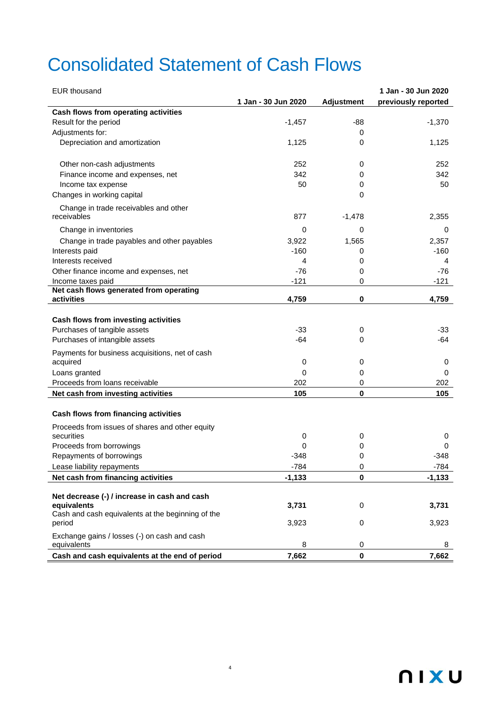## Consolidated Statement of Cash Flows

| <b>EUR</b> thousand                                              |                     |                   | 1 Jan - 30 Jun 2020 |
|------------------------------------------------------------------|---------------------|-------------------|---------------------|
|                                                                  | 1 Jan - 30 Jun 2020 | <b>Adjustment</b> | previously reported |
| Cash flows from operating activities                             |                     |                   |                     |
| Result for the period                                            | $-1,457$            | -88               | $-1,370$            |
| Adjustments for:                                                 |                     | 0                 |                     |
| Depreciation and amortization                                    | 1,125               | 0                 | 1,125               |
|                                                                  |                     |                   |                     |
| Other non-cash adjustments                                       | 252                 | 0                 | 252                 |
| Finance income and expenses, net                                 | 342                 | 0                 | 342                 |
| Income tax expense                                               | 50                  | 0                 | 50                  |
| Changes in working capital                                       |                     | 0                 |                     |
| Change in trade receivables and other                            |                     |                   |                     |
| receivables                                                      | 877                 | $-1,478$          | 2,355               |
| Change in inventories                                            | 0                   | 0                 | 0                   |
| Change in trade payables and other payables                      | 3,922               | 1,565             | 2,357               |
| Interests paid                                                   | $-160$              | 0                 | $-160$              |
| Interests received                                               | 4                   | 0                 | 4                   |
| Other finance income and expenses, net                           | $-76$               | 0                 | -76                 |
| Income taxes paid                                                | $-121$              | 0                 | $-121$              |
| Net cash flows generated from operating<br>activities            | 4,759               | $\bf{0}$          | 4,759               |
|                                                                  |                     |                   |                     |
| Cash flows from investing activities                             |                     |                   |                     |
| Purchases of tangible assets                                     | $-33$               | 0                 | $-33$               |
| Purchases of intangible assets                                   | -64                 | 0                 | $-64$               |
| Payments for business acquisitions, net of cash                  |                     |                   |                     |
| acquired                                                         | 0                   | 0                 | 0                   |
| Loans granted                                                    | 0                   | 0                 | 0                   |
| Proceeds from loans receivable                                   | 202                 | 0                 | 202                 |
| Net cash from investing activities                               | 105                 | $\mathbf 0$       | 105                 |
|                                                                  |                     |                   |                     |
| Cash flows from financing activities                             |                     |                   |                     |
| Proceeds from issues of shares and other equity                  |                     |                   |                     |
| securities                                                       | 0<br>0              | 0                 | 0<br>0              |
| Proceeds from borrowings<br>Repayments of borrowings             | $-348$              | 0<br>0            | -348                |
|                                                                  |                     |                   |                     |
| Lease liability repayments<br>Net cash from financing activities | $-784$              | 0<br>$\mathbf 0$  | -784                |
|                                                                  | $-1,133$            |                   | $-1,133$            |
| Net decrease (-) / increase in cash and cash                     |                     |                   |                     |
| equivalents                                                      | 3,731               | 0                 | 3,731               |
| Cash and cash equivalents at the beginning of the                |                     |                   |                     |
| period                                                           | 3,923               | 0                 | 3,923               |
| Exchange gains / losses (-) on cash and cash                     |                     |                   |                     |
| equivalents                                                      | 8                   | 0                 | 8                   |
| Cash and cash equivalents at the end of period                   | 7,662               | $\mathbf 0$       | 7,662               |

4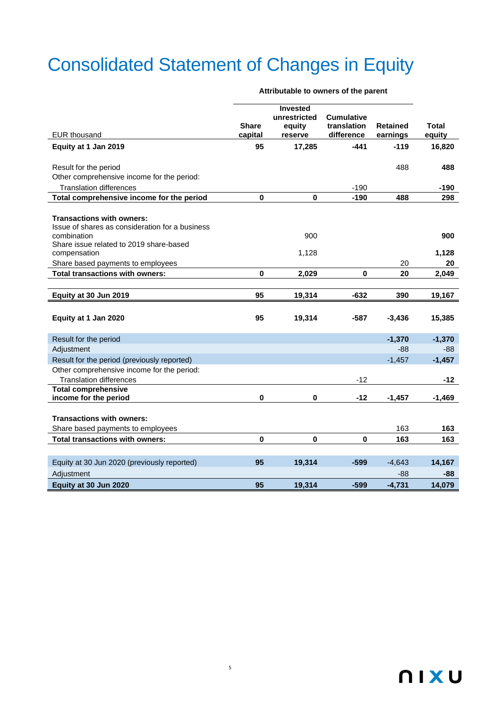# Consolidated Statement of Changes in Equity

|                                                                |                         | <b>Invested</b><br>unrestricted | <b>Cumulative</b>         |                             |                 |
|----------------------------------------------------------------|-------------------------|---------------------------------|---------------------------|-----------------------------|-----------------|
| <b>EUR thousand</b>                                            | <b>Share</b><br>capital | equity<br>reserve               | translation<br>difference | <b>Retained</b><br>earnings | Total<br>equity |
| Equity at 1 Jan 2019                                           | 95                      | 17,285                          | $-441$                    | $-119$                      | 16,820          |
| Result for the period                                          |                         |                                 |                           | 488                         | 488             |
| Other comprehensive income for the period:                     |                         |                                 |                           |                             |                 |
| <b>Translation differences</b>                                 |                         |                                 | $-190$                    |                             | $-190$          |
| Total comprehensive income for the period                      | $\mathbf 0$             | 0                               | $-190$                    | 488                         | 298             |
|                                                                |                         |                                 |                           |                             |                 |
| <b>Transactions with owners:</b>                               |                         |                                 |                           |                             |                 |
| Issue of shares as consideration for a business<br>combination |                         | 900                             |                           |                             | 900             |
| Share issue related to 2019 share-based                        |                         |                                 |                           |                             |                 |
| compensation                                                   |                         | 1,128                           |                           |                             | 1,128           |
| Share based payments to employees                              |                         |                                 |                           | 20                          | 20              |
| Total transactions with owners:                                | $\bf{0}$                | 2,029                           | 0                         | 20                          | 2,049           |
|                                                                |                         |                                 |                           |                             |                 |
| Equity at 30 Jun 2019                                          | 95                      | 19,314                          | -632                      | 390                         | 19,167          |
|                                                                |                         |                                 |                           |                             |                 |
| Equity at 1 Jan 2020                                           | 95                      | 19,314                          | $-587$                    | $-3,436$                    | 15,385          |
|                                                                |                         |                                 |                           |                             |                 |
| Result for the period                                          |                         |                                 |                           | $-1,370$                    | $-1,370$        |
| Adjustment                                                     |                         |                                 |                           | $-88$                       | -88             |
| Result for the period (previously reported)                    |                         |                                 |                           | $-1,457$                    | $-1,457$        |
| Other comprehensive income for the period:                     |                         |                                 |                           |                             |                 |
| <b>Translation differences</b>                                 |                         |                                 | $-12$                     |                             | $-12$           |
| <b>Total comprehensive</b>                                     | $\bf{0}$                |                                 |                           |                             |                 |
| income for the period                                          |                         | 0                               | $-12$                     | $-1,457$                    | $-1,469$        |
| <b>Transactions with owners:</b>                               |                         |                                 |                           |                             |                 |
| Share based payments to employees                              |                         |                                 |                           | 163                         | 163             |
| <b>Total transactions with owners:</b>                         | $\mathbf 0$             | 0                               | 0                         | 163                         | 163             |
|                                                                |                         |                                 |                           |                             |                 |
|                                                                |                         |                                 |                           |                             |                 |
| Equity at 30 Jun 2020 (previously reported)                    | 95                      | 19,314                          | $-599$                    | $-4,643$                    | 14,167          |
| Adjustment                                                     |                         |                                 |                           | $-88$                       | -88             |
| Equity at 30 Jun 2020                                          | 95                      | 19.314                          | $-599$                    | $-4,731$                    | 14,079          |

5

#### **Attributable to owners of the parent**

### **NIXU**